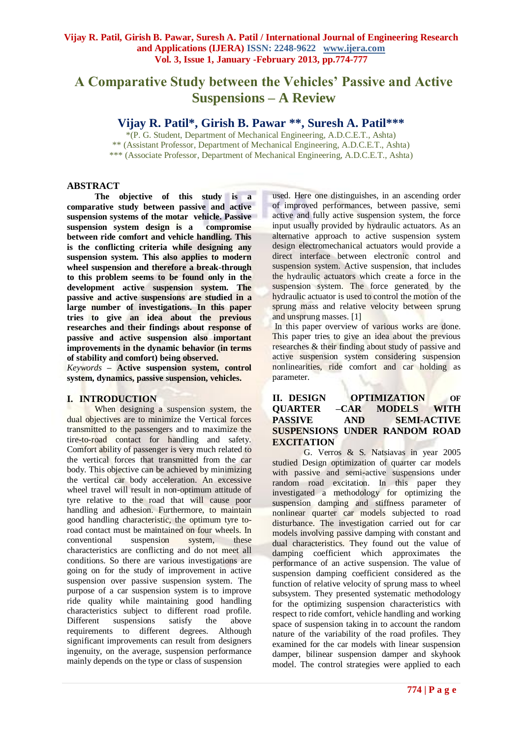# **A Comparative Study between the Vehicles' Passive and Active Suspensions – A Review**

**Vijay R. Patil\*, Girish B. Pawar \*\* , Suresh A. Patil\*\*\*** 

\*(P. G. Student, Department of Mechanical Engineering, A.D.C.E.T., Ashta) \*\* (Assistant Professor, Department of Mechanical Engineering, A.D.C.E.T., Ashta) \*\*\* (Associate Professor, Department of Mechanical Engineering, A.D.C.E.T., Ashta)

#### **ABSTRACT**

**The objective of this study is a comparative study between passive and active suspension systems of the motar vehicle. Passive suspension system design is a compromise between ride comfort and vehicle handling. This is the conflicting criteria while designing any suspension system. This also applies to modern wheel suspension and therefore a break-through to this problem seems to be found only in the development active suspension system. The passive and active suspensions are studied in a large number of investigations. In this paper tries to give an idea about the previous researches and their findings about response of passive and active suspension also important improvements in the dynamic behavior (in terms of stability and comfort) being observed.**

*Keywords* **– Active suspension system, control system, dynamics, passive suspension, vehicles.**

# **I. INTRODUCTION**

When designing a suspension system, the dual objectives are to minimize the Vertical forces transmitted to the passengers and to maximize the tire-to-road contact for handling and safety. Comfort ability of passenger is very much related to the vertical forces that transmitted from the car body. This objective can be achieved by minimizing the vertical car body acceleration. An excessive wheel travel will result in non-optimum attitude of tyre relative to the road that will cause poor handling and adhesion. Furthermore, to maintain good handling characteristic, the optimum tyre toroad contact must be maintained on four wheels. In conventional suspension system, these characteristics are conflicting and do not meet all conditions. So there are various investigations are going on for the study of improvement in active suspension over passive suspension system. The purpose of a car suspension system is to improve ride quality while maintaining good handling characteristics subject to different road profile. Different suspensions satisfy the above requirements to different degrees. Although significant improvements can result from designers ingenuity, on the average, suspension performance mainly depends on the type or class of suspension

used. Here one distinguishes, in an ascending order of improved performances, between passive, semi active and fully active suspension system, the force input usually provided by hydraulic actuators. As an alternative approach to active suspension system design electromechanical actuators would provide a direct interface between electronic control and suspension system. Active suspension, that includes the hydraulic actuators which create a force in the suspension system. The force generated by the hydraulic actuator is used to control the motion of the sprung mass and relative velocity between sprung and unsprung masses. [1]

In this paper overview of various works are done. This paper tries to give an idea about the previous researches & their finding about study of passive and active suspension system considering suspension nonlinearities, ride comfort and car holding as parameter.

# **II. DESIGN OPTIMIZATION OF QUARTER –CAR MODELS WITH PASSIVE AND SEMI-ACTIVE SUSPENSIONS UNDER RANDOM ROAD EXCITATION**

G. Verros & S. Natsiavas in year 2005 studied Design optimization of quarter car models with passive and semi-active suspensions under random road excitation. In this paper they investigated a methodology for optimizing the suspension damping and stiffness parameter of nonlinear quarter car models subjected to road disturbance. The investigation carried out for car models involving passive damping with constant and dual characteristics. They found out the value of damping coefficient which approximates the performance of an active suspension. The value of suspension damping coefficient considered as the function of relative velocity of sprung mass to wheel subsystem. They presented systematic methodology for the optimizing suspension characteristics with respect to ride comfort, vehicle handling and working space of suspension taking in to account the random nature of the variability of the road profiles. They examined for the car models with linear suspension damper, bilinear suspension damper and skyhook model. The control strategies were applied to each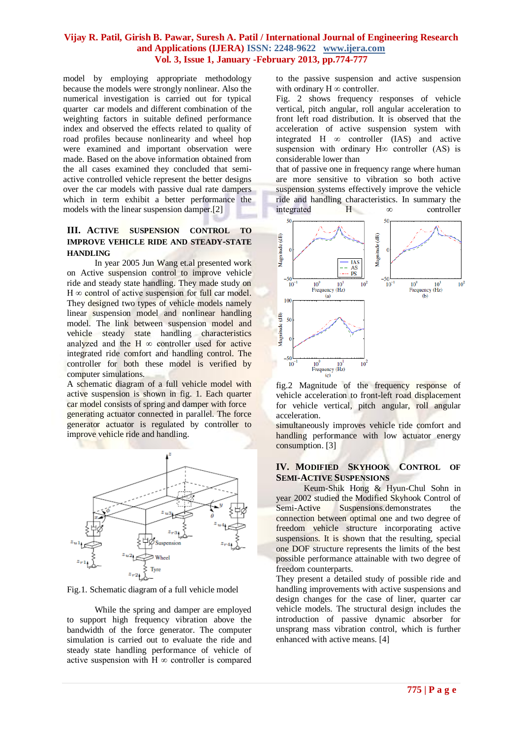# **Vijay R. Patil, Girish B. Pawar, Suresh A. Patil / International Journal of Engineering Research and Applications (IJERA) ISSN: 2248-9622 www.ijera.com Vol. 3, Issue 1, January -February 2013, pp.774-777**

model by employing appropriate methodology because the models were strongly nonlinear. Also the numerical investigation is carried out for typical quarter car models and different combination of the weighting factors in suitable defined performance index and observed the effects related to quality of road profiles because nonlinearity and wheel hop were examined and important observation were made. Based on the above information obtained from the all cases examined they concluded that semiactive controlled vehicle represent the better designs over the car models with passive dual rate dampers which in term exhibit a better performance the models with the linear suspension damper.[2]

# **III. ACTIVE SUSPENSION CONTROL TO IMPROVE VEHICLE RIDE AND STEADY-STATE HANDLING**

In year 2005 Jun Wang et.al presented work on Active suspension control to improve vehicle ride and steady state handling. They made study on  $H \infty$  control of active suspension for full car model. They designed two types of vehicle models namely linear suspension model and nonlinear handling model. The link between suspension model and vehicle steady state handling characteristics analyzed and the H  $\infty$  controller used for active integrated ride comfort and handling control. The controller for both these model is verified by computer simulations.

A schematic diagram of a full vehicle model with active suspension is shown in fig. 1. Each quarter car model consists of spring and damper with force

generating actuator connected in parallel. The force generator actuator is regulated by controller to improve vehicle ride and handling.



Fig.1. Schematic diagram of a full vehicle model

While the spring and damper are employed to support high frequency vibration above the bandwidth of the force generator. The computer simulation is carried out to evaluate the ride and steady state handling performance of vehicle of active suspension with  $H \infty$  controller is compared

to the passive suspension and active suspension with ordinary  $H \infty$  controller.

Fig. 2 shows frequency responses of vehicle vertical, pitch angular, roll angular acceleration to front left road distribution. It is observed that the acceleration of active suspension system with integrated H  $\infty$  controller (IAS) and active suspension with ordinary  $H<sup>∞</sup>$  controller (AS) is considerable lower than

that of passive one in frequency range where human are more sensitive to vibration so both active suspension systems effectively improve the vehicle ride and handling characteristics. In summary the integrated H ∞ controller





simultaneously improves vehicle ride comfort and handling performance with low actuator energy consumption. [3]

#### **IV. MODIFIED SKYHOOK CONTROL OF SEMI-ACTIVE SUSPENSIONS**

Keum-Shik Hong & Hyun-Chul Sohn in year 2002 studied the Modified Skyhook Control of Semi-Active Suspensions.demonstrates the connection between optimal one and two degree of freedom vehicle structure incorporating active suspensions. It is shown that the resulting, special one DOF structure represents the limits of the best possible performance attainable with two degree of freedom counterparts.

They present a detailed study of possible ride and handling improvements with active suspensions and design changes for the case of liner, quarter car vehicle models. The structural design includes the introduction of passive dynamic absorber for unsprang mass vibration control, which is further enhanced with active means. [4]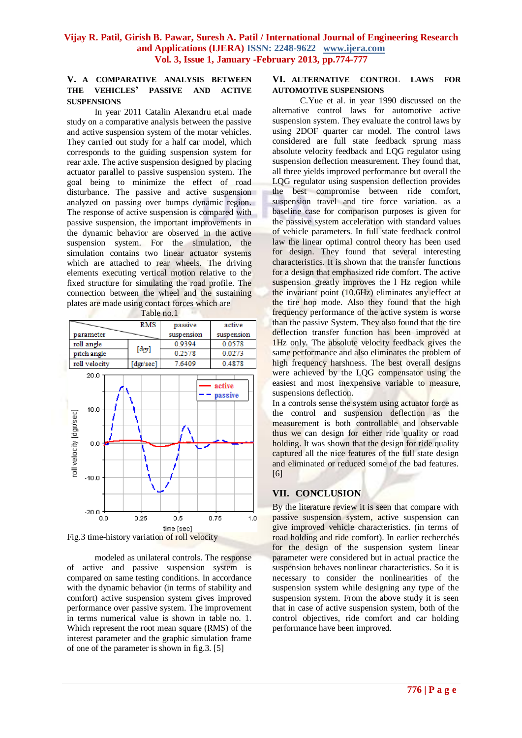#### **V. A COMPARATIVE ANALYSIS BETWEEN THE VEHICLES' PASSIVE AND ACTIVE SUSPENSIONS**

In year 2011 Catalin Alexandru et.al made study on a comparative analysis between the passive and active suspension system of the motar vehicles. They carried out study for a half car model, which corresponds to the guiding suspension system for rear axle. The active suspension designed by placing actuator parallel to passive suspension system. The goal being to minimize the effect of road disturbance. The passive and active suspension analyzed on passing over bumps dynamic region. The response of active suspension is compared with passive suspension, the important improvements in the dynamic behavior are observed in the active suspension system. For the simulation, the simulation contains two linear actuator systems which are attached to rear wheels. The driving elements executing vertical motion relative to the fixed structure for simulating the road profile. The connection between the wheel and the sustaining plates are made using contact forces which are



Fig.3 time-history variation of roll velocity

modeled as unilateral controls. The response of active and passive suspension system is compared on same testing conditions. In accordance with the dynamic behavior (in terms of stability and comfort) active suspension system gives improved performance over passive system. The improvement in terms numerical value is shown in table no. 1. Which represent the root mean square (RMS) of the interest parameter and the graphic simulation frame of one of the parameter is shown in fig.3. [5]

#### **VI. ALTERNATIVE CONTROL LAWS FOR AUTOMOTIVE SUSPENSIONS**

C.Yue et al. in year 1990 discussed on the alternative control laws for automotive active suspension system. They evaluate the control laws by using 2DOF quarter car model. The control laws considered are full state feedback sprung mass absolute velocity feedback and LQG regulator using suspension deflection measurement. They found that, all three yields improved performance but overall the LQG regulator using suspension deflection provides the best compromise between ride comfort, suspension travel and tire force variation. as a baseline case for comparison purposes is given for the passive system acceleration with standard values of vehicle parameters. In full state feedback control law the linear optimal control theory has been used for design. They found that several interesting characteristics. It is shown that the transfer functions for a design that emphasized ride comfort. The active suspension greatly improves the l Hz region while the invariant point (10.6Hz) eliminates any effect at the tire hop mode. Also they found that the high frequency performance of the active system is worse than the passive System. They also found that the tire deflection transfer function has been improved at 1Hz only. The absolute velocity feedback gives the same performance and also eliminates the problem of high frequency harshness. The best overall designs were achieved by the LOG compensator using the easiest and most inexpensive variable to measure, suspensions deflection.

In a controls sense the system using actuator force as the control and suspension deflection as the measurement is both controllable and observable thus we can design for either ride quality or road holding. It was shown that the design for ride quality captured all the nice features of the full state design and eliminated or reduced some of the bad features. [6]

# **VII. CONCLUSION**

By the literature review it is seen that compare with passive suspension system, active suspension can give improved vehicle characteristics. (in terms of road holding and ride comfort). In earlier recherchés for the design of the suspension system linear parameter were considered but in actual practice the suspension behaves nonlinear characteristics. So it is necessary to consider the nonlinearities of the suspension system while designing any type of the suspension system. From the above study it is seen that in case of active suspension system, both of the control objectives, ride comfort and car holding performance have been improved.